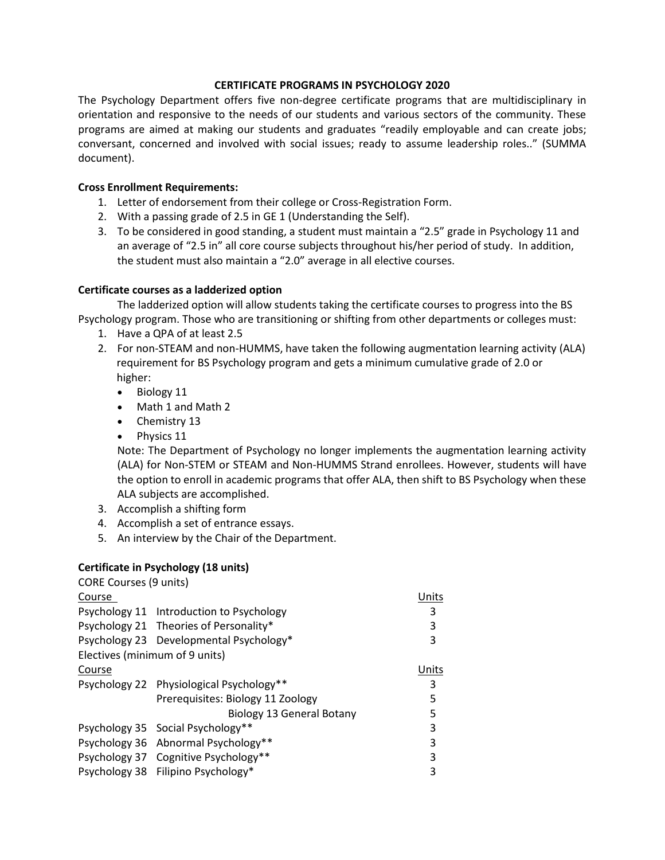## **CERTIFICATE PROGRAMS IN PSYCHOLOGY 2020**

The Psychology Department offers five non-degree certificate programs that are multidisciplinary in orientation and responsive to the needs of our students and various sectors of the community. These programs are aimed at making our students and graduates "readily employable and can create jobs; conversant, concerned and involved with social issues; ready to assume leadership roles.." (SUMMA document).

#### **Cross Enrollment Requirements:**

- 1. Letter of endorsement from their college or Cross-Registration Form.
- 2. With a passing grade of 2.5 in GE 1 (Understanding the Self).
- 3. To be considered in good standing, a student must maintain a "2.5" grade in Psychology 11 and an average of "2.5 in" all core course subjects throughout his/her period of study. In addition, the student must also maintain a "2.0" average in all elective courses.

## **Certificate courses as a ladderized option**

The ladderized option will allow students taking the certificate courses to progress into the BS Psychology program. Those who are transitioning or shifting from other departments or colleges must:

- 1. Have a QPA of at least 2.5
- 2. For non-STEAM and non-HUMMS, have taken the following augmentation learning activity (ALA) requirement for BS Psychology program and gets a minimum cumulative grade of 2.0 or higher:
	- Biology 11
	- Math 1 and Math 2
	- Chemistry 13
	- Physics 11

Note: The Department of Psychology no longer implements the augmentation learning activity (ALA) for Non-STEM or STEAM and Non-HUMMS Strand enrollees. However, students will have the option to enroll in academic programs that offer ALA, then shift to BS Psychology when these ALA subjects are accomplished.

- 3. Accomplish a shifting form
- 4. Accomplish a set of entrance essays.
- 5. An interview by the Chair of the Department.

## **Certificate in Psychology (18 units)**

| <b>CORE Courses (9 units)</b>  |                                          |       |
|--------------------------------|------------------------------------------|-------|
| Course                         |                                          | Units |
|                                | Psychology 11 Introduction to Psychology | 3     |
|                                | Psychology 21 Theories of Personality*   | 3     |
|                                | Psychology 23 Developmental Psychology*  | 3     |
| Electives (minimum of 9 units) |                                          |       |
| Course                         |                                          | Units |
|                                | Psychology 22 Physiological Psychology** | 3     |
|                                | Prerequisites: Biology 11 Zoology        | 5     |
|                                | Biology 13 General Botany                | 5     |
|                                | Psychology 35 Social Psychology**        | 3     |
|                                | Psychology 36 Abnormal Psychology**      | 3     |
|                                | Psychology 37 Cognitive Psychology**     | 3     |
|                                | Psychology 38 Filipino Psychology*       | 3     |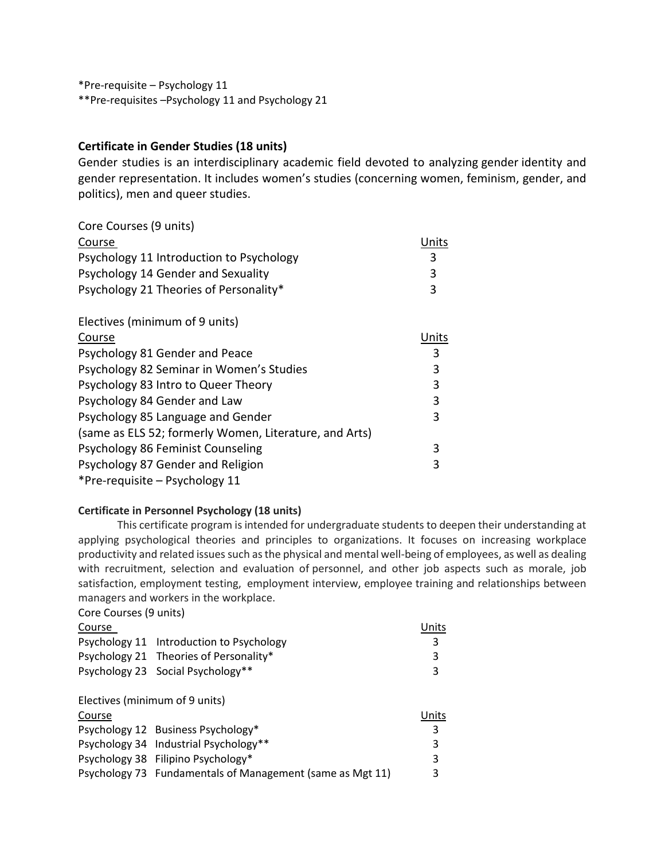\*Pre-requisite – Psychology 11 \*\*Pre-requisites –Psychology 11 and Psychology 21

# **Certificate in Gender Studies (18 units)**

Gender studies is an interdisciplinary academic field devoted to analyzing gender identity and gender representation. It includes women's studies (concerning women, feminism, gender, and politics), men and queer studies.

| Core Courses (9 units)                                 |       |
|--------------------------------------------------------|-------|
| Course                                                 | Units |
| Psychology 11 Introduction to Psychology               | 3     |
| Psychology 14 Gender and Sexuality                     | 3     |
| Psychology 21 Theories of Personality*                 | 3     |
| Electives (minimum of 9 units)                         |       |
| Course                                                 | Units |
| Psychology 81 Gender and Peace                         | 3     |
| Psychology 82 Seminar in Women's Studies               | 3     |
| Psychology 83 Intro to Queer Theory                    | 3     |
| Psychology 84 Gender and Law                           | 3     |
| Psychology 85 Language and Gender                      | 3     |
| (same as ELS 52; formerly Women, Literature, and Arts) |       |
| Psychology 86 Feminist Counseling                      | 3     |
| Psychology 87 Gender and Religion                      | 3     |
| *Pre-requisite - Psychology 11                         |       |

## **Certificate in Personnel Psychology (18 units)**

This certificate program is intended for undergraduate students to deepen their understanding at applying psychological theories and principles to organizations. It focuses on increasing workplace productivity and related issues such as the physical and mental well-being of employees, as well as dealing with recruitment, selection and evaluation of personnel, and other job aspects such as morale, job satisfaction, employment testing, employment interview, employee training and relationships between managers and workers in the workplace.

Core Courses (9 units)

| Course                         |                                                           | Units |
|--------------------------------|-----------------------------------------------------------|-------|
|                                | Psychology 11 Introduction to Psychology                  | 3     |
|                                | Psychology 21 Theories of Personality*                    | 3     |
|                                | Psychology 23 Social Psychology**                         | 3     |
| Electives (minimum of 9 units) |                                                           |       |
| Course                         |                                                           | Units |
|                                | Psychology 12 Business Psychology*                        | 3     |
|                                | Psychology 34 Industrial Psychology**                     | 3     |
|                                | Psychology 38 Filipino Psychology*                        | 3     |
|                                | Psychology 73 Fundamentals of Management (same as Mgt 11) | 3     |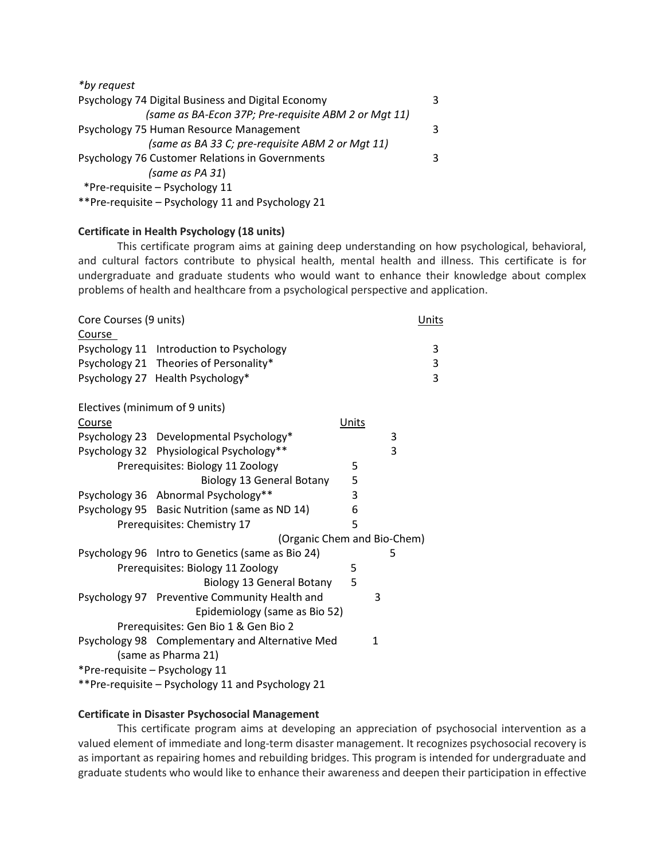| *by request                                          |    |
|------------------------------------------------------|----|
| Psychology 74 Digital Business and Digital Economy   | 3. |
| (same as BA-Econ 37P; Pre-requisite ABM 2 or Mqt 11) |    |
| Psychology 75 Human Resource Management              | 3. |
| (same as BA 33 C; pre-requisite ABM 2 or Mgt 11)     |    |
| Psychology 76 Customer Relations in Governments      | 3  |
| (same as PA 31)                                      |    |
| *Pre-requisite - Psychology 11                       |    |
| **Pre-requisite - Psychology 11 and Psychology 21    |    |

## **Certificate in Health Psychology (18 units)**

This certificate program aims at gaining deep understanding on how psychological, behavioral, and cultural factors contribute to physical health, mental health and illness. This certificate is for undergraduate and graduate students who would want to enhance their knowledge about complex problems of health and healthcare from a psychological perspective and application.

| Core Courses (9 units) |                                                   |       |   | <b>Units</b> |
|------------------------|---------------------------------------------------|-------|---|--------------|
| Course                 |                                                   |       |   |              |
|                        | Psychology 11 Introduction to Psychology          |       |   | 3            |
|                        | Psychology 21 Theories of Personality*            |       |   | 3            |
|                        | Psychology 27 Health Psychology*                  |       |   | 3            |
|                        | Electives (minimum of 9 units)                    |       |   |              |
| Course                 |                                                   | Units |   |              |
|                        | Psychology 23 Developmental Psychology*           |       | 3 |              |
|                        | Psychology 32 Physiological Psychology**          |       | 3 |              |
|                        | Prerequisites: Biology 11 Zoology                 | 5     |   |              |
|                        | <b>Biology 13 General Botany</b>                  | 5     |   |              |
|                        | Psychology 36 Abnormal Psychology**               | 3     |   |              |
|                        | Psychology 95 Basic Nutrition (same as ND 14)     | 6     |   |              |
|                        | Prerequisites: Chemistry 17                       | 5     |   |              |
|                        | (Organic Chem and Bio-Chem)                       |       |   |              |
|                        | Psychology 96 Intro to Genetics (same as Bio 24)  |       | 5 |              |
|                        | Prerequisites: Biology 11 Zoology                 | 5     |   |              |
|                        | <b>Biology 13 General Botany</b>                  | 5     |   |              |
|                        | Psychology 97 Preventive Community Health and     |       | 3 |              |
|                        | Epidemiology (same as Bio 52)                     |       |   |              |
|                        | Prerequisites: Gen Bio 1 & Gen Bio 2              |       |   |              |
|                        | Psychology 98 Complementary and Alternative Med   |       | 1 |              |
|                        | (same as Pharma 21)                               |       |   |              |
|                        | *Pre-requisite - Psychology 11                    |       |   |              |
|                        | **Pre-requisite - Psychology 11 and Psychology 21 |       |   |              |

## **Certificate in Disaster Psychosocial Management**

This certificate program aims at developing an appreciation of psychosocial intervention as a valued element of immediate and long-term disaster management. It recognizes psychosocial recovery is as important as repairing homes and rebuilding bridges. This program is intended for undergraduate and graduate students who would like to enhance their awareness and deepen their participation in effective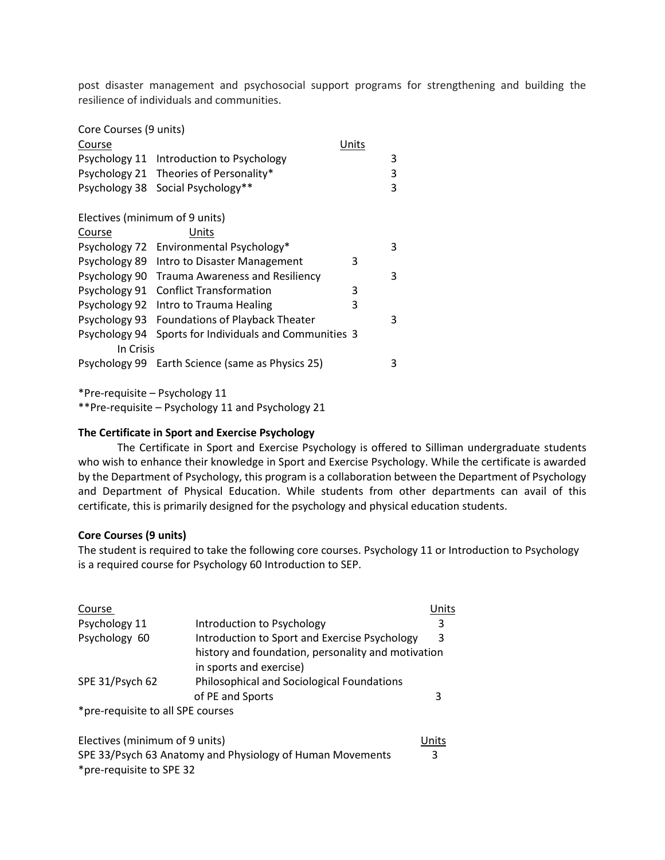post disaster management and psychosocial support programs for strengthening and building the resilience of individuals and communities.

| Core Courses (9 units)         |                                                  |       |   |
|--------------------------------|--------------------------------------------------|-------|---|
| Course                         |                                                  | Units |   |
|                                | Psychology 11 Introduction to Psychology         |       | 3 |
|                                | Psychology 21 Theories of Personality*           |       | 3 |
|                                | Psychology 38 Social Psychology**                |       | 3 |
| Electives (minimum of 9 units) |                                                  |       |   |
| Course                         | Units                                            |       |   |
|                                | Psychology 72 Environmental Psychology*          |       | 3 |
|                                | Psychology 89 Intro to Disaster Management       | 3     |   |
|                                | Psychology 90 Trauma Awareness and Resiliency    |       | 3 |
|                                | Psychology 91 Conflict Transformation            | 3     |   |
|                                | Psychology 92 Intro to Trauma Healing            | 3     |   |
|                                | Psychology 93 Foundations of Playback Theater    |       | 3 |
| Psychology 94                  | Sports for Individuals and Communities 3         |       |   |
| In Crisis                      |                                                  |       |   |
|                                | Psychology 99 Earth Science (same as Physics 25) |       | 3 |
|                                |                                                  |       |   |

\*Pre-requisite – Psychology 11

\*\*Pre-requisite – Psychology 11 and Psychology 21

#### **The Certificate in Sport and Exercise Psychology**

The Certificate in Sport and Exercise Psychology is offered to Silliman undergraduate students who wish to enhance their knowledge in Sport and Exercise Psychology. While the certificate is awarded by the Department of Psychology, this program is a collaboration between the Department of Psychology and Department of Physical Education. While students from other departments can avail of this certificate, this is primarily designed for the psychology and physical education students.

#### **Core Courses (9 units)**

The student is required to take the following core courses. Psychology 11 or Introduction to Psychology is a required course for Psychology 60 Introduction to SEP.

| Course                            |                                                                               | Jnits |
|-----------------------------------|-------------------------------------------------------------------------------|-------|
| Psychology 11                     | Introduction to Psychology                                                    | 3     |
| Psychology 60                     | Introduction to Sport and Exercise Psychology                                 | 3     |
|                                   | history and foundation, personality and motivation<br>in sports and exercise) |       |
| SPE 31/Psych 62                   | Philosophical and Sociological Foundations                                    |       |
|                                   | of PE and Sports                                                              | 3     |
| *pre-requisite to all SPE courses |                                                                               |       |

| Electives (minimum of 9 units)                            | <b>Units</b> |
|-----------------------------------------------------------|--------------|
| SPE 33/Psych 63 Anatomy and Physiology of Human Movements |              |
| *pre-requisite to SPE 32                                  |              |